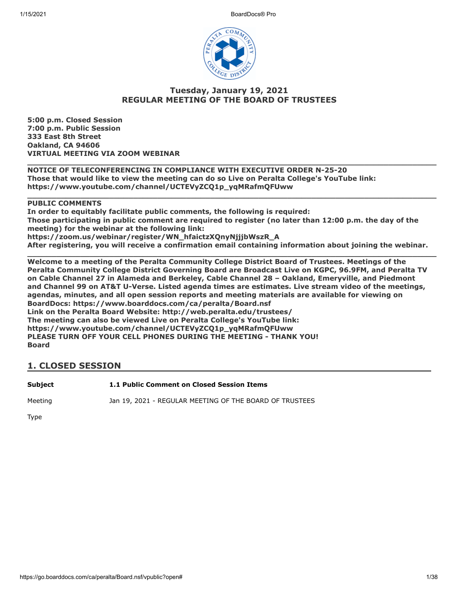1/15/2021 BoardDocs® Pro



### **Tuesday, January 19, 2021 REGULAR MEETING OF THE BOARD OF TRUSTEES**

**5:00 p.m. Closed Session 7:00 p.m. Public Session 333 East 8th Street Oakland, CA 94606 VIRTUAL MEETING VIA ZOOM WEBINAR**

**\_\_\_\_\_\_\_\_\_\_\_\_\_\_\_\_\_\_\_\_\_\_\_\_\_\_\_\_\_\_\_\_\_\_\_\_\_\_\_\_\_\_\_\_\_\_\_\_\_\_\_\_\_\_\_\_\_\_\_\_\_\_\_\_\_\_\_\_\_\_\_\_\_\_\_\_\_\_\_\_\_\_\_\_\_ NOTICE OF TELECONFERENCING IN COMPLIANCE WITH EXECUTIVE ORDER N-25-20 Those that would like to view the meeting can do so Live on Peralta College's YouTube link: https://www.youtube.com/channel/UCTEVyZCQ1p\_yqMRafmQFUww**

**PUBLIC COMMENTS**

**In order to equitably facilitate public comments, the following is required: Those participating in public comment are required to register (no later than 12:00 p.m. the day of the meeting) for the webinar at the following link: https://zoom.us/webinar/register/WN\_hfaictzXQnyNjjjbWszR\_A After registering, you will receive a confirmation email containing information about joining the webinar.**

**\_\_\_\_\_\_\_\_\_\_\_\_\_\_\_\_\_\_\_\_\_\_\_\_\_\_\_\_\_\_\_\_\_\_\_\_\_\_\_\_\_\_\_\_\_\_\_\_\_\_\_\_\_\_\_\_\_\_\_\_\_\_\_\_\_\_\_\_\_\_\_\_\_\_\_\_\_\_\_\_\_\_\_\_\_**

**\_\_\_\_\_\_\_\_\_\_\_\_\_\_\_\_\_\_\_\_\_\_\_\_\_\_\_\_\_\_\_\_\_\_\_\_\_\_\_\_\_\_\_\_\_\_\_\_\_\_\_\_\_\_\_\_\_\_\_\_\_\_\_\_\_\_\_\_\_\_\_\_\_\_\_\_\_\_\_\_\_\_\_\_\_ Welcome to a meeting of the Peralta Community College District Board of Trustees. Meetings of the Peralta Community College District Governing Board are Broadcast Live on KGPC, 96.9FM, and Peralta TV on Cable Channel 27 in Alameda and Berkeley, Cable Channel 28 – Oakland, Emeryville, and Piedmont and Channel 99 on AT&T U-Verse. Listed agenda times are estimates. Live stream video of the meetings, agendas, minutes, and all open session reports and meeting materials are available for viewing on BoardDocs: https://www.boarddocs.com/ca/peralta/Board.nsf Link on the Peralta Board Website: http://web.peralta.edu/trustees/ The meeting can also be viewed Live on Peralta College's YouTube link: https://www.youtube.com/channel/UCTEVyZCQ1p\_yqMRafmQFUww PLEASE TURN OFF YOUR CELL PHONES DURING THE MEETING - THANK YOU! Board**

### **1. CLOSED SESSION**

**Subject 1.1 Public Comment on Closed Session Items**

Meeting Jan 19, 2021 - REGULAR MEETING OF THE BOARD OF TRUSTEES

Type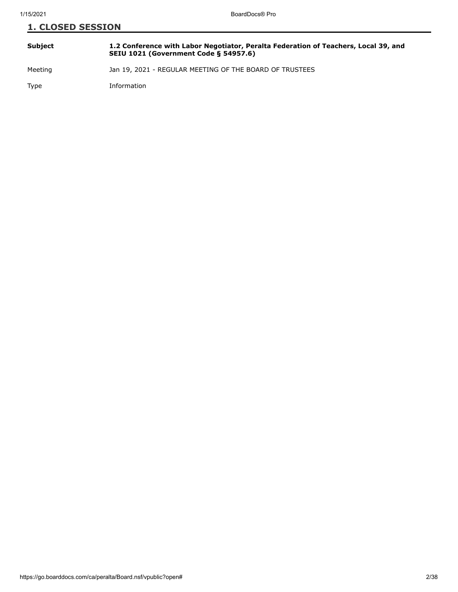| <b>1. CLOSED SESSION</b> |                                                                                                                                     |
|--------------------------|-------------------------------------------------------------------------------------------------------------------------------------|
| <b>Subject</b>           | 1.2 Conference with Labor Negotiator, Peralta Federation of Teachers, Local 39, and<br><b>SEIU 1021 (Government Code § 54957.6)</b> |
| Meeting                  | Jan 19, 2021 - REGULAR MEETING OF THE BOARD OF TRUSTEES                                                                             |
| Type                     | Information                                                                                                                         |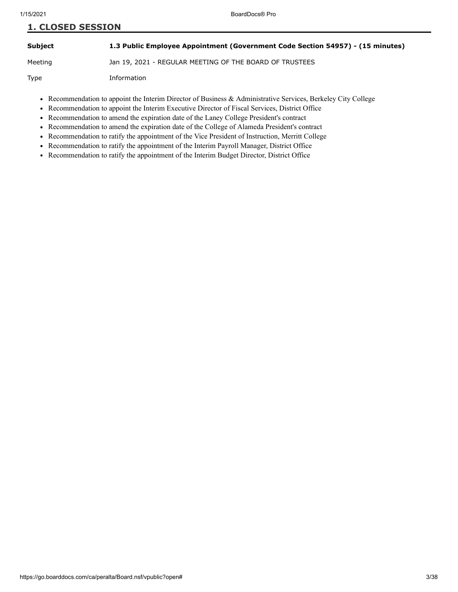**Subject 1.3 Public Employee Appointment (Government Code Section 54957) - (15 minutes)**

Meeting Jan 19, 2021 - REGULAR MEETING OF THE BOARD OF TRUSTEES

Type Information

- Recommendation to appoint the Interim Director of Business & Administrative Services, Berkeley City College
- Recommendation to appoint the Interim Executive Director of Fiscal Services, District Office
- Recommendation to amend the expiration date of the Laney College President's contract
- Recommendation to amend the expiration date of the College of Alameda President's contract
- Recommendation to ratify the appointment of the Vice President of Instruction, Merritt College
- Recommendation to ratify the appointment of the Interim Payroll Manager, District Office  $\bullet$
- Recommendation to ratify the appointment of the Interim Budget Director, District Office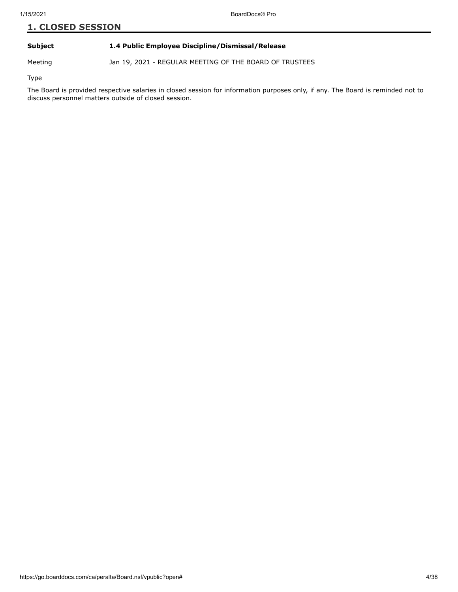#### **Subject 1.4 Public Employee Discipline/Dismissal/Release**

Meeting Jan 19, 2021 - REGULAR MEETING OF THE BOARD OF TRUSTEES

Type

The Board is provided respective salaries in closed session for information purposes only, if any. The Board is reminded not to discuss personnel matters outside of closed session.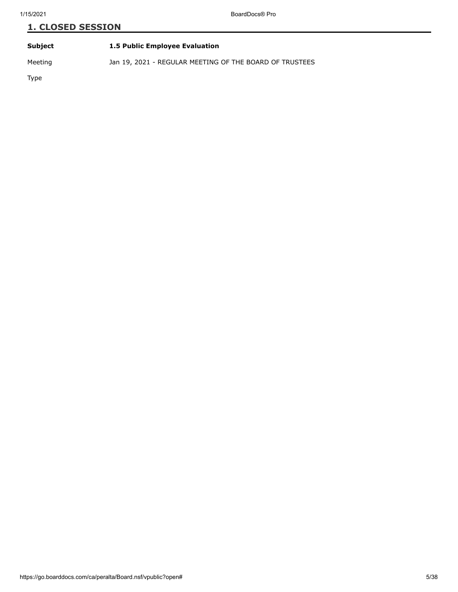| Subject | 1.5 Public Employee Evaluation |
|---------|--------------------------------|
|         |                                |

Meeting Jan 19, 2021 - REGULAR MEETING OF THE BOARD OF TRUSTEES

Type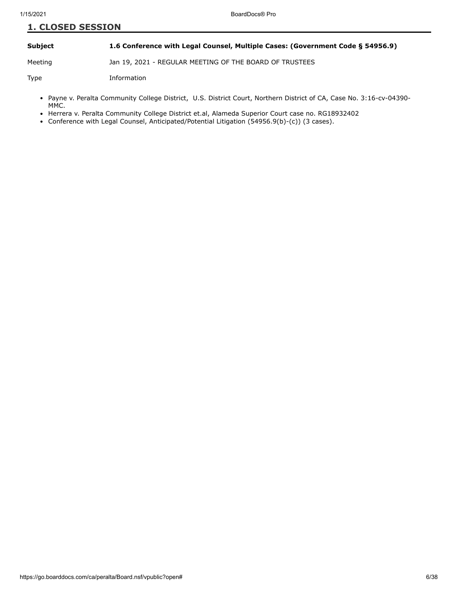#### **Subject 1.6 Conference with Legal Counsel, Multiple Cases: (Government Code § 54956.9)**

Meeting Jan 19, 2021 - REGULAR MEETING OF THE BOARD OF TRUSTEES

Type Information

- Payne v. Peralta Community College District, U.S. District Court, Northern District of CA, Case No. 3:16-cv-04390-MMC.
- Herrera v. Peralta Community College District et.al, Alameda Superior Court case no. RG18932402
- Conference with Legal Counsel, Anticipated/Potential Litigation (54956.9(b)-(c)) (3 cases).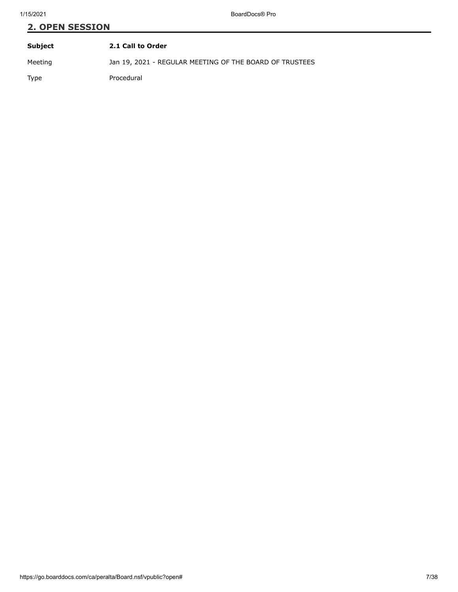# **2. OPEN SESSION Subject 2.1 Call to Order**

Meeting Jan 19, 2021 - REGULAR MEETING OF THE BOARD OF TRUSTEES

Type Procedural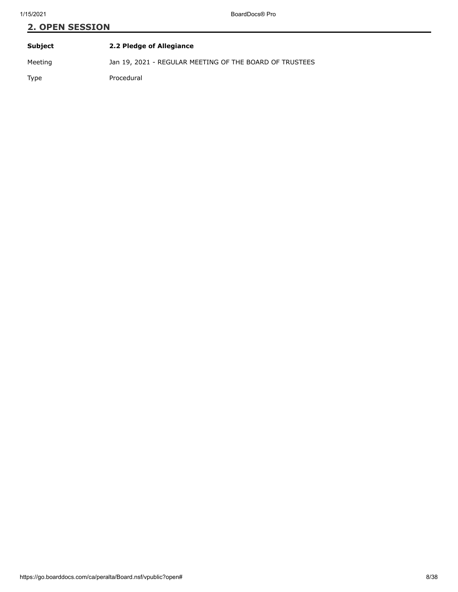| Subject | 2.2 Pledge of Allegiance                                |
|---------|---------------------------------------------------------|
| Meeting | Jan 19, 2021 - REGULAR MEETING OF THE BOARD OF TRUSTEES |
| Type    | Procedural                                              |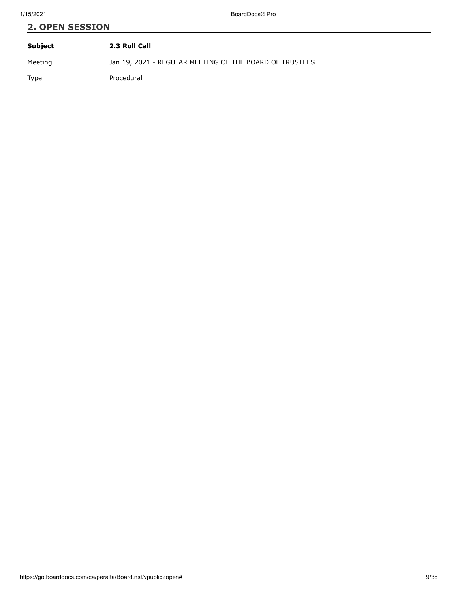| Subject | 2.3 Roll Call                                           |
|---------|---------------------------------------------------------|
| Meeting | Jan 19, 2021 - REGULAR MEETING OF THE BOARD OF TRUSTEES |
| Type    | Procedural                                              |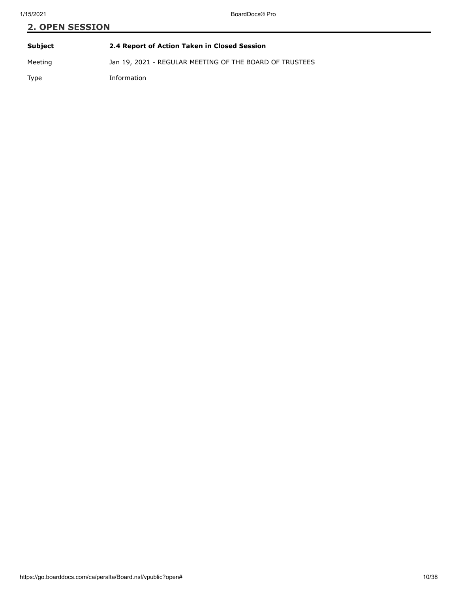# **2. OPEN SESSION Subject 2.4 Report of Action Taken in Closed Session** Meeting Jan 19, 2021 - REGULAR MEETING OF THE BOARD OF TRUSTEES

Type Information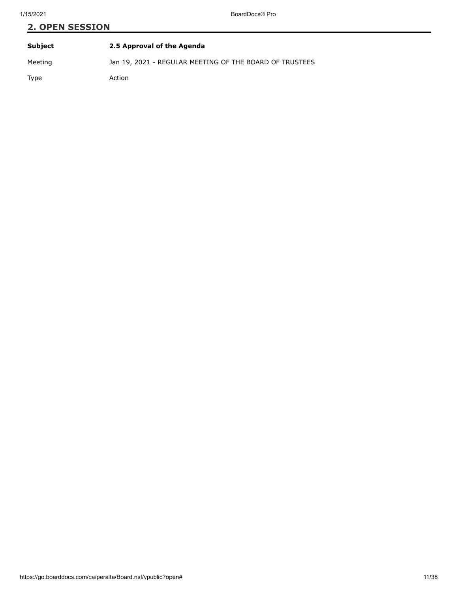| Subject | 2.5 Approval of the Agenda                              |
|---------|---------------------------------------------------------|
| Meeting | Jan 19, 2021 - REGULAR MEETING OF THE BOARD OF TRUSTEES |
| Type    | Action                                                  |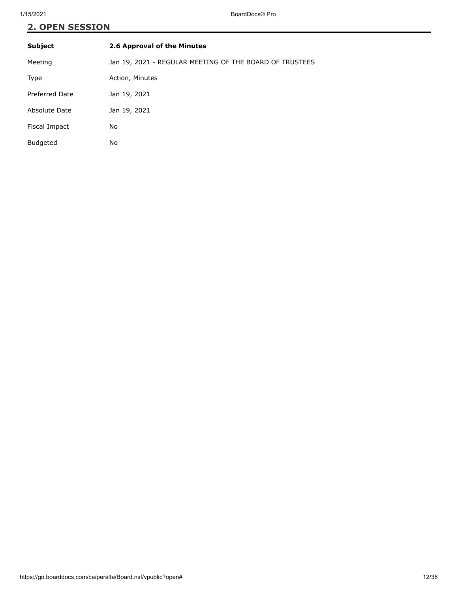| <b>Subject</b>  | 2.6 Approval of the Minutes                             |
|-----------------|---------------------------------------------------------|
| Meeting         | Jan 19, 2021 - REGULAR MEETING OF THE BOARD OF TRUSTEES |
| Type            | Action, Minutes                                         |
| Preferred Date  | Jan 19, 2021                                            |
| Absolute Date   | Jan 19, 2021                                            |
| Fiscal Impact   | No                                                      |
| <b>Budgeted</b> | No                                                      |
|                 |                                                         |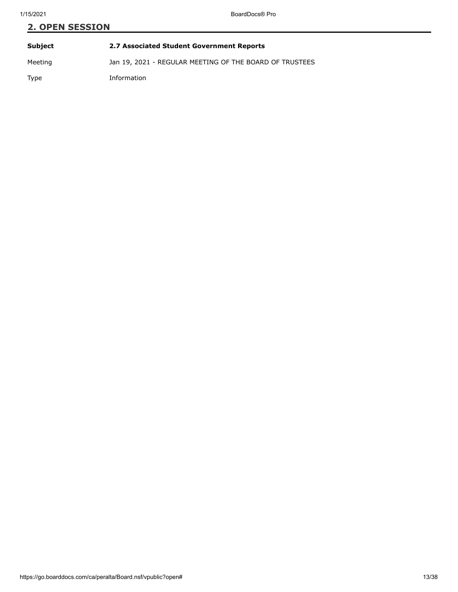# **2. OPEN SESSION Subject 2.7 Associated Student Government Reports** Meeting Jan 19, 2021 - REGULAR MEETING OF THE BOARD OF TRUSTEES

Type Information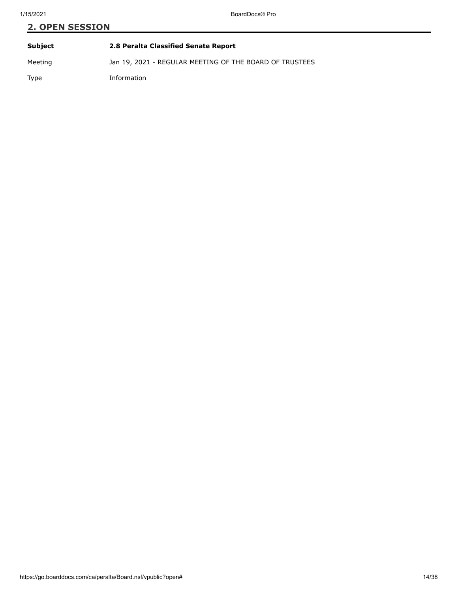| Subject | 2.8 Peralta Classified Senate Report                    |
|---------|---------------------------------------------------------|
| Meeting | Jan 19, 2021 - REGULAR MEETING OF THE BOARD OF TRUSTEES |
| Type    | Information                                             |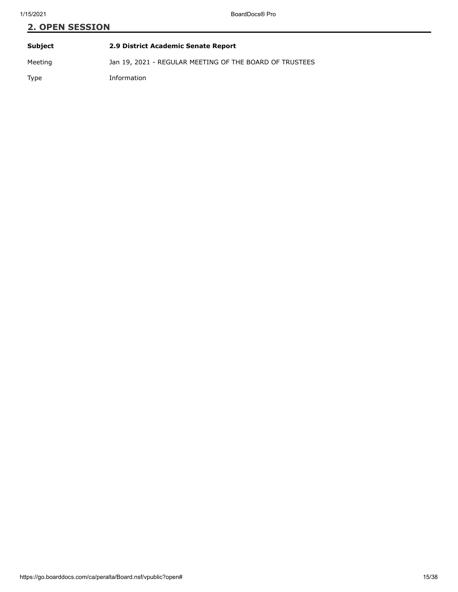| Subject | 2.9 District Academic Senate Report                     |
|---------|---------------------------------------------------------|
| Meeting | Jan 19, 2021 - REGULAR MEETING OF THE BOARD OF TRUSTEES |
| Type    | Information                                             |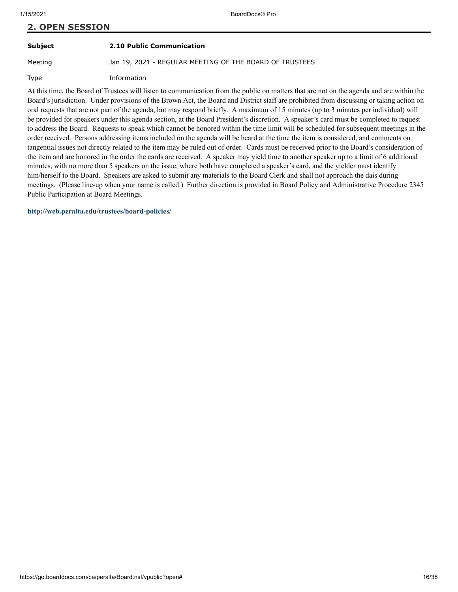#### **Subject 2.10 Public Communication**

Meeting Jan 19, 2021 - REGULAR MEETING OF THE BOARD OF TRUSTEES

Type Information

At this time, the Board of Trustees will listen to communication from the public on matters that are not on the agenda and are within the Board's jurisdiction. Under provisions of the Brown Act, the Board and District staff are prohibited from discussing or taking action on oral requests that are not part of the agenda, but may respond briefly. A maximum of 15 minutes (up to 3 minutes per individual) will be provided for speakers under this agenda section, at the Board President's discretion. A speaker's card must be completed to request to address the Board. Requests to speak which cannot be honored within the time limit will be scheduled for subsequent meetings in the order received. Persons addressing items included on the agenda will be heard at the time the item is considered, and comments on tangential issues not directly related to the item may be ruled out of order. Cards must be received prior to the Board's consideration of the item and are honored in the order the cards are received. A speaker may yield time to another speaker up to a limit of 6 additional minutes, with no more than 5 speakers on the issue, where both have completed a speaker's card, and the yielder must identify him/herself to the Board. Speakers are asked to submit any materials to the Board Clerk and shall not approach the dais during meetings. (Please line-up when your name is called.) Further direction is provided in Board Policy and Administrative Procedure 2345 Public Participation at Board Meetings.

**<http://web.peralta.edu/trustees/board-policies/>**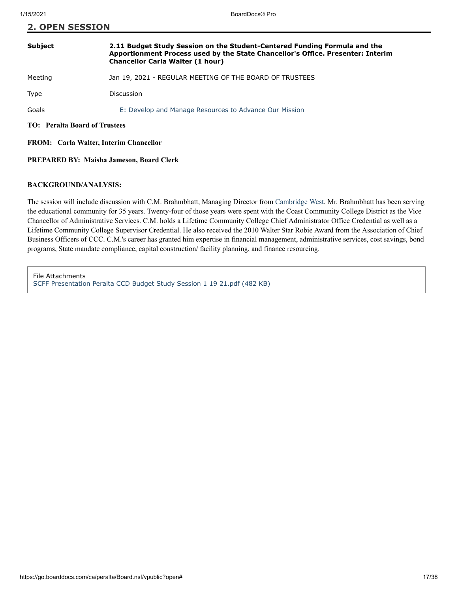| <b>Subject</b>                                | 2.11 Budget Study Session on the Student-Centered Funding Formula and the<br>Apportionment Process used by the State Chancellor's Office. Presenter: Interim<br><b>Chancellor Carla Walter (1 hour)</b> |
|-----------------------------------------------|---------------------------------------------------------------------------------------------------------------------------------------------------------------------------------------------------------|
| Meeting                                       | Jan 19, 2021 - REGULAR MEETING OF THE BOARD OF TRUSTEES                                                                                                                                                 |
| Type                                          | Discussion                                                                                                                                                                                              |
| Goals                                         | E: Develop and Manage Resources to Advance Our Mission                                                                                                                                                  |
| <b>TO:</b> Peralta Board of Trustees          |                                                                                                                                                                                                         |
| <b>FROM:</b> Carla Walter, Interim Chancellor |                                                                                                                                                                                                         |

#### **PREPARED BY: Maisha Jameson, Board Clerk**

#### **BACKGROUND/ANALYSIS:**

**2. OPEN SESSION**

The session will include discussion with C.M. Brahmbhatt, Managing Director from [Cambridge West](https://cambridgewestpartnership.com/). Mr. Brahmbhatt has been serving the educational community for 35 years. Twenty-four of those years were spent with the Coast Community College District as the Vice Chancellor of Administrative Services. C.M. holds a Lifetime Community College Chief Administrator Office Credential as well as a Lifetime Community College Supervisor Credential. He also received the 2010 Walter Star Robie Award from the Association of Chief Business Officers of CCC. C.M.'s career has granted him expertise in financial management, administrative services, cost savings, bond programs, State mandate compliance, capital construction/ facility planning, and finance resourcing.

File Attachments [SCFF Presentation Peralta CCD Budget Study Session 1 19 21.pdf \(482 KB\)](https://go.boarddocs.com/ca/peralta/Board.nsf/files/BXAN335D73A7/$file/SCFF%20Presentation%20Peralta%20CCD%20Budget%20Study%20Session%201%2019%2021.pdf)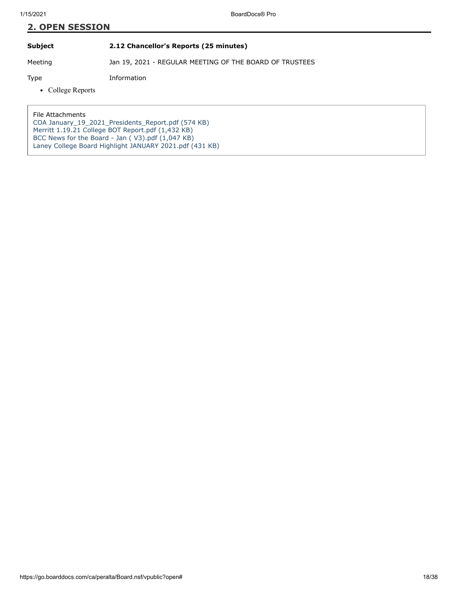**Subject 2.12 Chancellor's Reports (25 minutes)**

Meeting Jan 19, 2021 - REGULAR MEETING OF THE BOARD OF TRUSTEES

Type Information

• College Reports

File Attachments

[COA January\\_19\\_2021\\_Presidents\\_Report.pdf \(574 KB\)](https://go.boarddocs.com/ca/peralta/Board.nsf/files/BX8U387A0B07/$file/COA%20January_19_2021_Presidents_Report.pdf) [Merritt 1.19.21 College BOT Report.pdf \(1,432 KB\)](https://go.boarddocs.com/ca/peralta/Board.nsf/files/BX8UCQ7B7099/$file/Merritt%201.19.21%20College%20BOT%20Report.pdf) BCC News for the Board - Jan  $( V3)$ .pdf  $(1,047$  KB) [Laney College Board Highlight JANUARY 2021.pdf \(431 KB\)](https://go.boarddocs.com/ca/peralta/Board.nsf/files/BXB2P40315A2/$file/Laney%20College%20Board%20Highlight%20JANUARY%202021.pdf)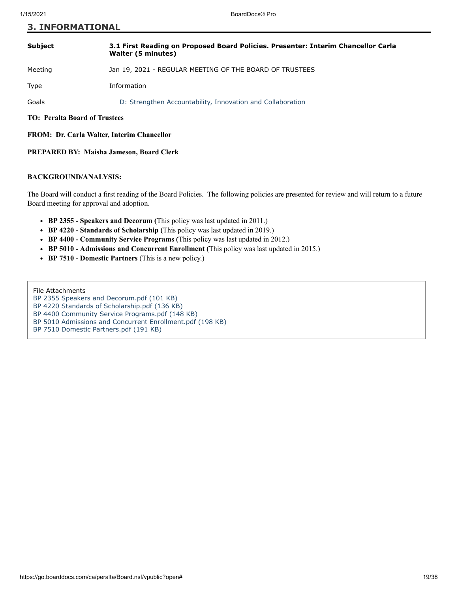#### **3. INFORMATIONAL**

| <b>Subject</b>                       | 3.1 First Reading on Proposed Board Policies. Presenter: Interim Chancellor Carla<br>Walter (5 minutes) |
|--------------------------------------|---------------------------------------------------------------------------------------------------------|
| Meeting                              | Jan 19, 2021 - REGULAR MEETING OF THE BOARD OF TRUSTEES                                                 |
| Type                                 | Information                                                                                             |
| Goals                                | D: Strengthen Accountability, Innovation and Collaboration                                              |
| <b>TO: Peralta Board of Trustees</b> |                                                                                                         |

**FROM: Dr. Carla Walter, Interim Chancellor**

#### **PREPARED BY: Maisha Jameson, Board Clerk**

#### **BACKGROUND/ANALYSIS:**

The Board will conduct a first reading of the Board Policies. The following policies are presented for review and will return to a future Board meeting for approval and adoption.

- **BP 2355 Speakers and Decorum (**This policy was last updated in 2011.)
- **BP 4220 Standards of Scholarship (**This policy was last updated in 2019.)
- **BP 4400 Community Service Programs (**This policy was last updated in 2012.)
- **BP 5010 Admissions and Concurrent Enrollment (**This policy was last updated in 2015.)
- **BP 7510 Domestic Partners** (This is a new policy.)

File Attachments

- [BP 2355 Speakers and Decorum.pdf \(101 KB\)](https://go.boarddocs.com/ca/peralta/Board.nsf/files/BX2B4K2A844F/$file/BP%202355%20Speakers%20and%20Decorum.pdf)
- [BP 4220 Standards of Scholarship.pdf \(136 KB\)](https://go.boarddocs.com/ca/peralta/Board.nsf/files/BX2B4H2A8401/$file/BP%204220%20Standards%20of%20Scholarship.pdf)

[BP 4400 Community Service Programs.pdf \(148 KB\)](https://go.boarddocs.com/ca/peralta/Board.nsf/files/BX2B4F2A83B7/$file/BP%204400%20Community%20Service%20Programs.pdf)

[BP 5010 Admissions and Concurrent Enrollment.pdf \(198 KB\)](https://go.boarddocs.com/ca/peralta/Board.nsf/files/BX2B4B2A8371/$file/BP%205010%20Admissions%20and%20Concurrent%20Enrollment.pdf)

[BP 7510 Domestic Partners.pdf \(191 KB\)](https://go.boarddocs.com/ca/peralta/Board.nsf/files/BX2B492A8333/$file/BP%207510%20Domestic%20Partners.pdf)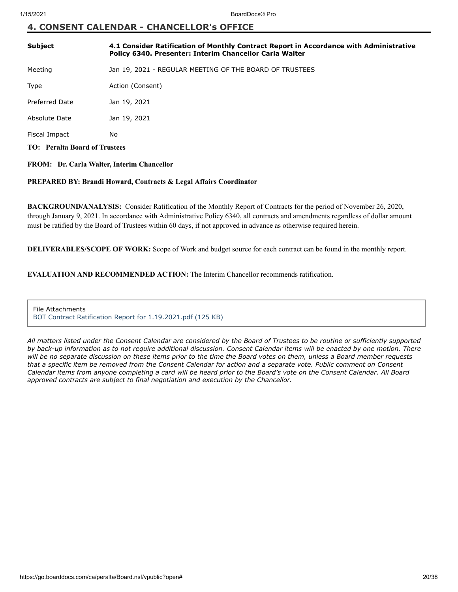### **4. CONSENT CALENDAR - CHANCELLOR's OFFICE**

| Subject                              | 4.1 Consider Ratification of Monthly Contract Report in Accordance with Administrative<br>Policy 6340. Presenter: Interim Chancellor Carla Walter |
|--------------------------------------|---------------------------------------------------------------------------------------------------------------------------------------------------|
| Meeting                              | Jan 19, 2021 - REGULAR MEETING OF THE BOARD OF TRUSTEES                                                                                           |
| Type                                 | Action (Consent)                                                                                                                                  |
| Preferred Date                       | Jan 19, 2021                                                                                                                                      |
| Absolute Date                        | Jan 19, 2021                                                                                                                                      |
| Fiscal Impact                        | No.                                                                                                                                               |
| <b>TO:</b> Peralta Board of Trustees |                                                                                                                                                   |

#### **FROM: Dr. Carla Walter, Interim Chancellor**

#### **PREPARED BY: Brandi Howard, Contracts & Legal Affairs Coordinator**

**BACKGROUND/ANALYSIS:** Consider Ratification of the Monthly Report of Contracts for the period of November 26, 2020, through January 9, 2021. In accordance with Administrative Policy 6340, all contracts and amendments regardless of dollar amount must be ratified by the Board of Trustees within 60 days, if not approved in advance as otherwise required herein.

**DELIVERABLES/SCOPE OF WORK:** Scope of Work and budget source for each contract can be found in the monthly report.

**EVALUATION AND RECOMMENDED ACTION:** The Interim Chancellor recommends ratification.

File Attachments [BOT Contract Ratification Report for 1.19.2021.pdf \(125 KB\)](https://go.boarddocs.com/ca/peralta/Board.nsf/files/BX2U9T7AF1EF/$file/BOT%20Contract%20Ratification%20Report%20for%201.19.2021.pdf)

*All matters listed under the Consent Calendar are considered by the Board of Trustees to be routine or sufficiently supported by back-up information as to not require additional discussion. Consent Calendar items will be enacted by one motion. There will be no separate discussion on these items prior to the time the Board votes on them, unless a Board member requests that a specific item be removed from the Consent Calendar for action and a separate vote. Public comment on Consent Calendar items from anyone completing a card will be heard prior to the Board's vote on the Consent Calendar. All Board approved contracts are subject to final negotiation and execution by the Chancellor.*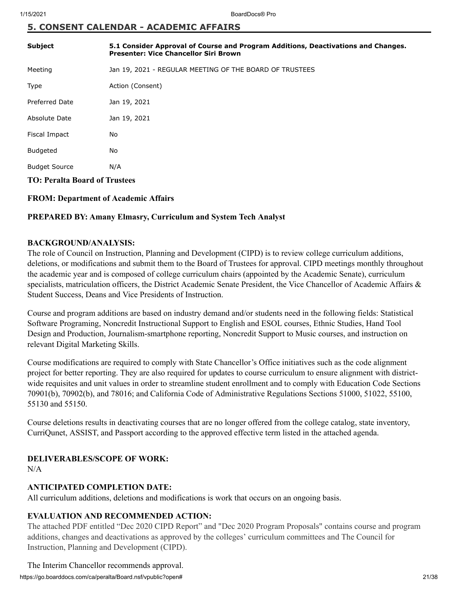### **5. CONSENT CALENDAR - ACADEMIC AFFAIRS**

| <b>Subject</b>                       | 5.1 Consider Approval of Course and Program Additions, Deactivations and Changes.<br><b>Presenter: Vice Chancellor Siri Brown</b> |
|--------------------------------------|-----------------------------------------------------------------------------------------------------------------------------------|
| Meeting                              | Jan 19, 2021 - REGULAR MEETING OF THE BOARD OF TRUSTEES                                                                           |
| Type                                 | Action (Consent)                                                                                                                  |
| <b>Preferred Date</b>                | Jan 19, 2021                                                                                                                      |
| Absolute Date                        | Jan 19, 2021                                                                                                                      |
| Fiscal Impact                        | No                                                                                                                                |
| <b>Budgeted</b>                      | No                                                                                                                                |
| <b>Budget Source</b>                 | N/A                                                                                                                               |
| <b>TO: Peralta Board of Trustees</b> |                                                                                                                                   |

#### **FROM: Department of Academic Affairs**

#### **PREPARED BY: Amany Elmasry, Curriculum and System Tech Analyst**

#### **BACKGROUND/ANALYSIS:**

The role of Council on Instruction, Planning and Development (CIPD) is to review college curriculum additions, deletions, or modifications and submit them to the Board of Trustees for approval. CIPD meetings monthly throughout the academic year and is composed of college curriculum chairs (appointed by the Academic Senate), curriculum specialists, matriculation officers, the District Academic Senate President, the Vice Chancellor of Academic Affairs & Student Success, Deans and Vice Presidents of Instruction.

Course and program additions are based on industry demand and/or students need in the following fields: Statistical Software Programing, Noncredit Instructional Support to English and ESOL courses, Ethnic Studies, Hand Tool Design and Production, Journalism-smartphone reporting, Noncredit Support to Music courses, and instruction on relevant Digital Marketing Skills.

Course modifications are required to comply with State Chancellor's Office initiatives such as the code alignment project for better reporting. They are also required for updates to course curriculum to ensure alignment with districtwide requisites and unit values in order to streamline student enrollment and to comply with Education Code Sections 70901(b), 70902(b), and 78016; and California Code of Administrative Regulations Sections 51000, 51022, 55100, 55130 and 55150.

Course deletions results in deactivating courses that are no longer offered from the college catalog, state inventory, CurriQunet, ASSIST, and Passport according to the approved effective term listed in the attached agenda.

#### **DELIVERABLES/SCOPE OF WORK:**

N/A

#### **ANTICIPATED COMPLETION DATE:**

All curriculum additions, deletions and modifications is work that occurs on an ongoing basis.

### **EVALUATION AND RECOMMENDED ACTION:**

The attached PDF entitled "Dec 2020 CIPD Report" and "Dec 2020 Program Proposals" contains course and program additions, changes and deactivations as approved by the colleges' curriculum committees and The Council for Instruction, Planning and Development (CIPD).

https://go.boarddocs.com/ca/peralta/Board.nsf/vpublic?open# 21/38 The Interim Chancellor recommends approval.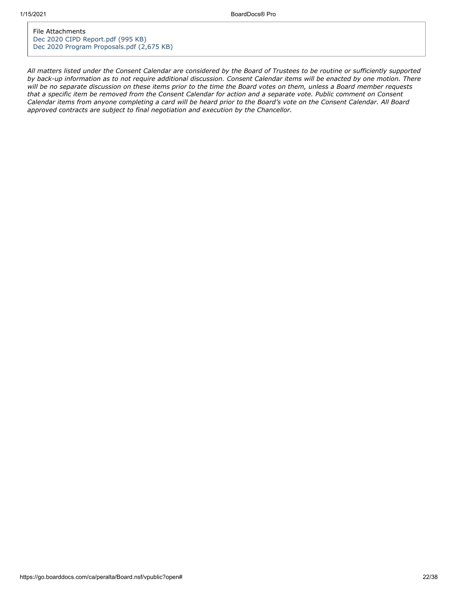File Attachments [Dec 2020 CIPD Report.pdf \(995 KB\)](https://go.boarddocs.com/ca/peralta/Board.nsf/files/BWYNWU5EA3A7/$file/Dec%202020%20CIPD%20Report.pdf) [Dec 2020 Program Proposals.pdf \(2,675 KB\)](https://go.boarddocs.com/ca/peralta/Board.nsf/files/BWYNXD5EAEAA/$file/Dec%202020%20Program%20Proposals.pdf)

*All matters listed under the Consent Calendar are considered by the Board of Trustees to be routine or sufficiently supported by back-up information as to not require additional discussion. Consent Calendar items will be enacted by one motion. There will be no separate discussion on these items prior to the time the Board votes on them, unless a Board member requests that a specific item be removed from the Consent Calendar for action and a separate vote. Public comment on Consent Calendar items from anyone completing a card will be heard prior to the Board's vote on the Consent Calendar. All Board approved contracts are subject to final negotiation and execution by the Chancellor.*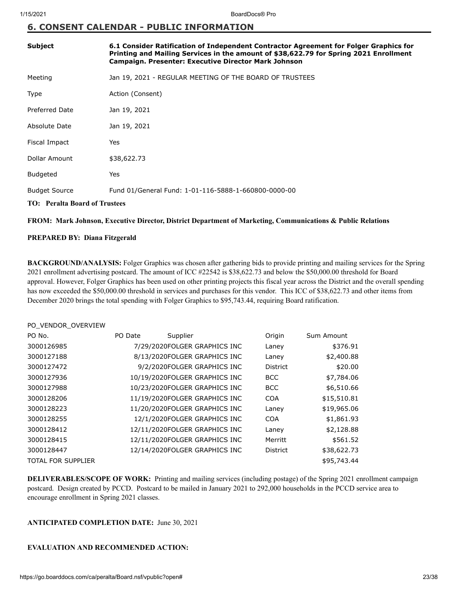#### **6. CONSENT CALENDAR - PUBLIC INFORMATION**

| <b>Subject</b>                       | 6.1 Consider Ratification of Independent Contractor Agreement for Folger Graphics for<br>Printing and Mailing Services in the amount of \$38,622.79 for Spring 2021 Enrollment<br>Campaign. Presenter: Executive Director Mark Johnson |  |
|--------------------------------------|----------------------------------------------------------------------------------------------------------------------------------------------------------------------------------------------------------------------------------------|--|
| Meeting                              | Jan 19, 2021 - REGULAR MEETING OF THE BOARD OF TRUSTEES                                                                                                                                                                                |  |
| Type                                 | Action (Consent)                                                                                                                                                                                                                       |  |
| <b>Preferred Date</b>                | Jan 19, 2021                                                                                                                                                                                                                           |  |
| Absolute Date                        | Jan 19, 2021                                                                                                                                                                                                                           |  |
| Fiscal Impact                        | Yes                                                                                                                                                                                                                                    |  |
| Dollar Amount                        | \$38,622.73                                                                                                                                                                                                                            |  |
| <b>Budgeted</b>                      | Yes                                                                                                                                                                                                                                    |  |
| <b>Budget Source</b>                 | Fund 01/General Fund: 1-01-116-5888-1-660800-0000-00                                                                                                                                                                                   |  |
| <b>TO: Peralta Board of Trustees</b> |                                                                                                                                                                                                                                        |  |

#### **FROM: Mark Johnson, Executive Director, District Department of Marketing, Communications & Public Relations**

#### **PREPARED BY: Diana Fitzgerald**

PO\_VENDOR\_OVERVIEW

**BACKGROUND/ANALYSIS:** Folger Graphics was chosen after gathering bids to provide printing and mailing services for the Spring 2021 enrollment advertising postcard. The amount of ICC #22542 is \$38,622.73 and below the \$50,000.00 threshold for Board approval. However, Folger Graphics has been used on other printing projects this fiscal year across the District and the overall spending has now exceeded the \$50,000.00 threshold in services and purchases for this vendor. This ICC of \$38,622.73 and other items from December 2020 brings the total spending with Folger Graphics to \$95,743.44, requiring Board ratification.

| PO VENDOR OVERVIEW        |         |                               |                 |             |
|---------------------------|---------|-------------------------------|-----------------|-------------|
| PO No.                    | PO Date | Supplier                      | Origin          | Sum Amount  |
| 3000126985                |         | 7/29/2020FOLGER GRAPHICS INC  | Laney           | \$376.91    |
| 3000127188                |         | 8/13/2020FOLGER GRAPHICS INC  | Laney           | \$2,400.88  |
| 3000127472                |         | 9/2/2020FOLGER GRAPHICS INC   | <b>District</b> | \$20.00     |
| 3000127936                |         | 10/19/2020FOLGER GRAPHICS INC | <b>BCC</b>      | \$7,784.06  |
| 3000127988                |         | 10/23/2020FOLGER GRAPHICS INC | <b>BCC</b>      | \$6,510.66  |
| 3000128206                |         | 11/19/2020FOLGER GRAPHICS INC | <b>COA</b>      | \$15,510.81 |
| 3000128223                |         | 11/20/2020FOLGER GRAPHICS INC | Laney           | \$19,965.06 |
| 3000128255                |         | 12/1/2020FOLGER GRAPHICS INC  | <b>COA</b>      | \$1,861.93  |
| 3000128412                |         | 12/11/2020FOLGER GRAPHICS INC | Laney           | \$2,128.88  |
| 3000128415                |         | 12/11/2020FOLGER GRAPHICS INC | Merritt         | \$561.52    |
| 3000128447                |         | 12/14/2020FOLGER GRAPHICS INC | <b>District</b> | \$38,622.73 |
| <b>TOTAL FOR SUPPLIER</b> |         |                               |                 | \$95,743.44 |

**DELIVERABLES/SCOPE OF WORK:** Printing and mailing services (including postage) of the Spring 2021 enrollment campaign postcard. Design created by PCCD. Postcard to be mailed in January 2021 to 292,000 households in the PCCD service area to encourage enrollment in Spring 2021 classes.

#### **ANTICIPATED COMPLETION DATE:** June 30, 2021

#### **EVALUATION AND RECOMMENDED ACTION:**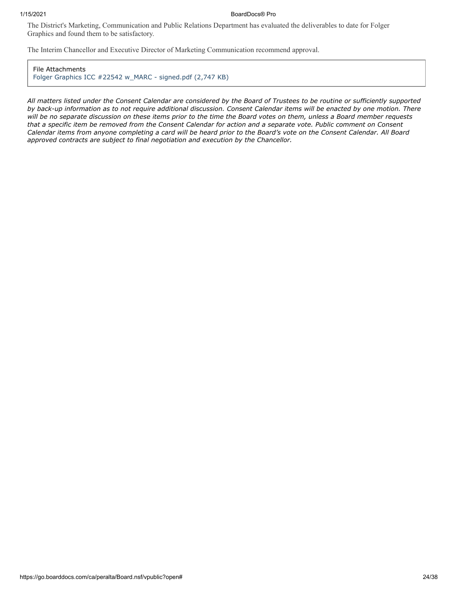#### 1/15/2021 BoardDocs® Pro

The District's Marketing, Communication and Public Relations Department has evaluated the deliverables to date for Folger Graphics and found them to be satisfactory.

The Interim Chancellor and Executive Director of Marketing Communication recommend approval.

File Attachments [Folger Graphics ICC #22542 w\\_MARC - signed.pdf \(2,747 KB\)](https://go.boarddocs.com/ca/peralta/Board.nsf/files/BWK6UH16A024/$file/Folger%20Graphics%20ICC%20%2322542%20w_MARC%20-%20signed.pdf)

*All matters listed under the Consent Calendar are considered by the Board of Trustees to be routine or sufficiently supported by back-up information as to not require additional discussion. Consent Calendar items will be enacted by one motion. There will be no separate discussion on these items prior to the time the Board votes on them, unless a Board member requests that a specific item be removed from the Consent Calendar for action and a separate vote. Public comment on Consent Calendar items from anyone completing a card will be heard prior to the Board's vote on the Consent Calendar. All Board approved contracts are subject to final negotiation and execution by the Chancellor.*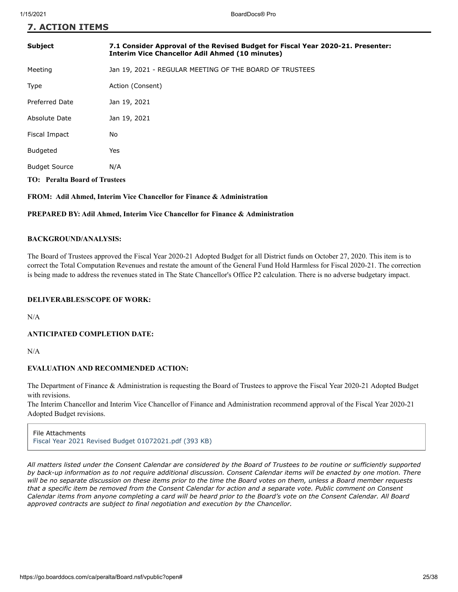**7. ACTION ITEMS**

| <b>Subject</b>                       | 7.1 Consider Approval of the Revised Budget for Fiscal Year 2020-21. Presenter:<br><b>Interim Vice Chancellor Adil Ahmed (10 minutes)</b> |
|--------------------------------------|-------------------------------------------------------------------------------------------------------------------------------------------|
| Meeting                              | Jan 19, 2021 - REGULAR MEETING OF THE BOARD OF TRUSTEES                                                                                   |
| Type                                 | Action (Consent)                                                                                                                          |
| Preferred Date                       | Jan 19, 2021                                                                                                                              |
| Absolute Date                        | Jan 19, 2021                                                                                                                              |
| Fiscal Impact                        | No                                                                                                                                        |
| <b>Budgeted</b>                      | Yes                                                                                                                                       |
| <b>Budget Source</b>                 | N/A                                                                                                                                       |
| <b>TO: Peralta Board of Trustees</b> |                                                                                                                                           |

**FROM: Adil Ahmed, Interim Vice Chancellor for Finance & Administration** 

#### **PREPARED BY: Adil Ahmed, Interim Vice Chancellor for Finance & Administration**

#### **BACKGROUND/ANALYSIS:**

The Board of Trustees approved the Fiscal Year 2020-21 Adopted Budget for all District funds on October 27, 2020. This item is to correct the Total Computation Revenues and restate the amount of the General Fund Hold Harmless for Fiscal 2020-21. The correction is being made to address the revenues stated in The State Chancellor's Office P2 calculation. There is no adverse budgetary impact.

#### **DELIVERABLES/SCOPE OF WORK:**

N/A

#### **ANTICIPATED COMPLETION DATE:**

N/A

#### **EVALUATION AND RECOMMENDED ACTION:**

The Department of Finance & Administration is requesting the Board of Trustees to approve the Fiscal Year 2020-21 Adopted Budget with revisions.  

The Interim Chancellor and Interim Vice Chancellor of Finance and Administration recommend approval of the Fiscal Year 2020-21 Adopted Budget revisions.

File Attachments [Fiscal Year 2021 Revised Budget 01072021.pdf \(393 KB\)](https://go.boarddocs.com/ca/peralta/Board.nsf/files/BX2VVN829B75/$file/Fiscal%20Year%202021%20Revised%20Budget%2001072021.pdf)

*All matters listed under the Consent Calendar are considered by the Board of Trustees to be routine or sufficiently supported by back-up information as to not require additional discussion. Consent Calendar items will be enacted by one motion. There will be no separate discussion on these items prior to the time the Board votes on them, unless a Board member requests that a specific item be removed from the Consent Calendar for action and a separate vote. Public comment on Consent Calendar items from anyone completing a card will be heard prior to the Board's vote on the Consent Calendar. All Board approved contracts are subject to final negotiation and execution by the Chancellor.*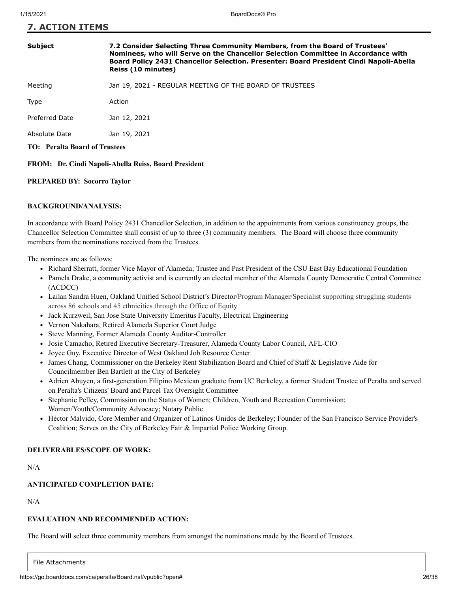#### **7. ACTION ITEMS**

#### **Subject 7.2 Consider Selecting Three Community Members, from the Board of Trustees' Nominees, who will Serve on the Chancellor Selection Committee in Accordance with Board Policy 2431 Chancellor Selection. Presenter: Board President Cindi Napoli-Abella Reiss (10 minutes)**

Meeting Jan 19, 2021 - REGULAR MEETING OF THE BOARD OF TRUSTEES

Type Action

Preferred Date Jan 12, 2021

Absolute Date Jan 19, 2021

**TO: Peralta Board of Trustees**

**FROM: Dr. Cindi Napoli-Abella Reiss, Board President**

#### **PREPARED BY: Socorro Taylor**

#### **BACKGROUND/ANALYSIS:**

In accordance with Board Policy 2431 Chancellor Selection, in addition to the appointments from various constituency groups, the Chancellor Selection Committee shall consist of up to three (3) community members. The Board will choose three community members from the nominations received from the Trustees.

The nominees are as follows:

- Richard Sherratt, former Vice Mayor of Alameda; Trustee and Past President of the CSU East Bay Educational Foundation
- Pamela Drake, a community activist and is currently an elected member of the Alameda County Democratic Central Committee (ACDCC)
- Lailan Sandra Huen, Oakland Unified School District's Director/Program Manager/Specialist supporting struggling students across 86 schools and 45 ethnicities through the Office of Equity
- Jack Kurzweil, San Jose State University Emeritus Faculty, Electrical Engineering
- Vernon Nakahara, Retired Alameda Superior Court Judge
- Steve Manning, Former Alameda County Auditor-Controller
- Josie Camacho, Retired Executive Secretary-Treasurer, Alameda County Labor Council, AFL-CIO
- Joyce Guy, Executive Director of West Oakland Job Resource Center
- James Chang, Commissioner on the Berkeley Rent Stabilization Board and Chief of Staff & Legislative Aide for Councilmember Ben Bartlett at the City of Berkeley
- Adrien Abuyen, a first-generation Filipino Mexican graduate from UC Berkeley, a former Student Trustee of Peralta and served on Peralta's Citizens' Board and Parcel Tax Oversight Committee
- Stephanie Pelley, Commission on the Status of Women; Children, Youth and Recreation Commission; Women/Youth/Community Advocacy; Notary Public
- Héctor Malvido, Core Member and Organizer of Latinos Unidos de Berkeley; Founder of the San Francisco Service Provider's Coalition; Serves on the City of Berkeley Fair & Impartial Police Working Group.

#### **DELIVERABLES/SCOPE OF WORK:**

N/A

#### **ANTICIPATED COMPLETION DATE:**

N/A

#### **EVALUATION AND RECOMMENDED ACTION:**

The Board will select three community members from amongst the nominations made by the Board of Trustees.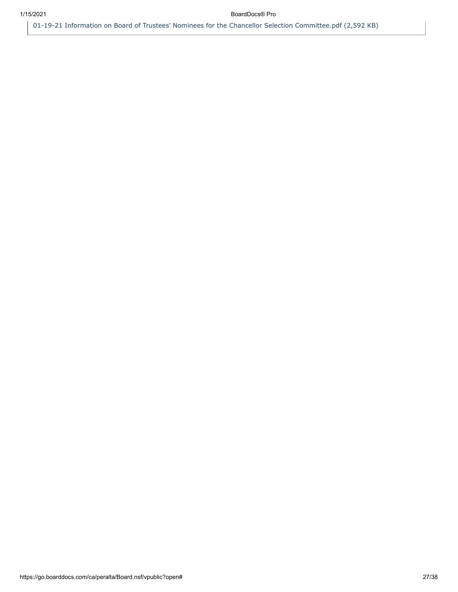[01-19-21 Information on Board of Trustees' Nominees for the Chancellor Selection Committee.pdf \(2,592 KB\)](https://go.boarddocs.com/ca/peralta/Board.nsf/files/BXAUWJ7DFEEF/$file/01-19-21%20Information%20on%20Board%20of%20Trustees)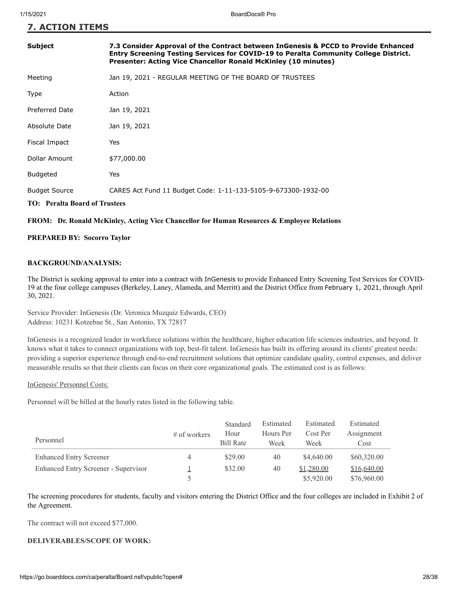**7. ACTION ITEMS**

| Subject                              | 7.3 Consider Approval of the Contract between InGenesis & PCCD to Provide Enhanced<br>Entry Screening Testing Services for COVID-19 to Peralta Community College District.<br>Presenter: Acting Vice Chancellor Ronald McKinley (10 minutes) |
|--------------------------------------|----------------------------------------------------------------------------------------------------------------------------------------------------------------------------------------------------------------------------------------------|
| Meeting                              | Jan 19, 2021 - REGULAR MEETING OF THE BOARD OF TRUSTEES                                                                                                                                                                                      |
| Type                                 | Action                                                                                                                                                                                                                                       |
| <b>Preferred Date</b>                | Jan 19, 2021                                                                                                                                                                                                                                 |
| Absolute Date                        | Jan 19, 2021                                                                                                                                                                                                                                 |
| Fiscal Impact                        | Yes                                                                                                                                                                                                                                          |
| Dollar Amount                        | \$77,000.00                                                                                                                                                                                                                                  |
| <b>Budgeted</b>                      | Yes                                                                                                                                                                                                                                          |
| <b>Budget Source</b>                 | CARES Act Fund 11 Budget Code: 1-11-133-5105-9-673300-1932-00                                                                                                                                                                                |
| <b>TO: Peralta Board of Trustees</b> |                                                                                                                                                                                                                                              |

#### **FROM: Dr. Ronald McKinley, Acting Vice Chancellor for Human Resources & Employee Relations**

#### **PREPARED BY: Socorro Taylor**

#### **BACKGROUND/ANALYSIS:**

The District is seeking approval to enter into a contract with InGenesis to provide Enhanced Entry Screening Test Services for COVID-19 at the four college campuses (Berkeley, Laney, Alameda, and Merritt) and the District Office from February 1, 2021, through April 30, 2021.

Service Provider: InGenesis (Dr. Veronica Muzquiz Edwards, CEO) Address: 10231 Kotzebue St., San Antonio, TX 72817

InGenesis is a recognized leader in workforce solutions within the healthcare, higher education life sciences industries, and beyond. It knows what it takes to connect organizations with top, best-fit talent. InGenesis has built its offering around its clients' greatest needs: providing a superior experience through end-to-end recruitment solutions that optimize candidate quality, control expenses, and deliver measurable results so that their clients can focus on their core organizational goals. The estimated cost is as follows:

#### InGenesis' Personnel Costs:

Personnel will be billed at the hourly rates listed in the following table.

| Personnel                                   | $#$ of workers | Standard<br>Hour<br><b>Bill Rate</b> | Estimated<br>Hours Per<br>Week | Estimated<br>Cost Per<br>Week | Estimated<br>Assignment<br>Cost |
|---------------------------------------------|----------------|--------------------------------------|--------------------------------|-------------------------------|---------------------------------|
| <b>Enhanced Entry Screener</b>              | $\overline{4}$ | \$29.00                              | 40                             | \$4,640.00                    | \$60,320.00                     |
| <b>Enhanced Entry Screener - Supervisor</b> |                | \$32.00                              | 40                             | \$1,280.00                    | \$16,640.00                     |
|                                             |                |                                      |                                | \$5,920.00                    | \$76,960.00                     |

The screening procedures for students, faculty and visitors entering the District Office and the four colleges are included in Exhibit 2 of the Agreement.

The contract will not exceed \$77,000.

#### **DELIVERABLES/SCOPE OF WORK:**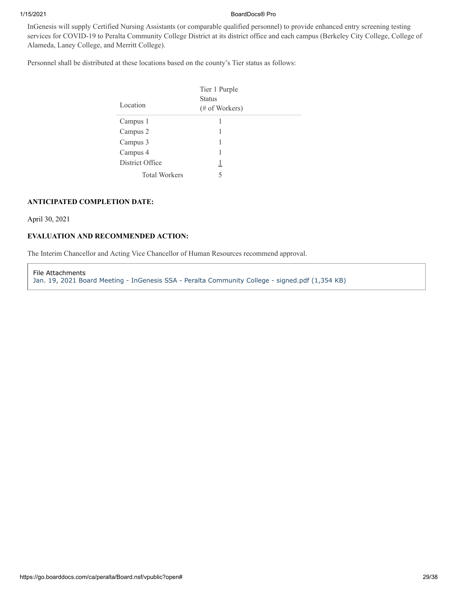#### 1/15/2021 BoardDocs® Pro

InGenesis will supply Certified Nursing Assistants (or comparable qualified personnel) to provide enhanced entry screening testing services for COVID-19 to Peralta Community College District at its district office and each campus (Berkeley City College, College of Alameda, Laney College, and Merritt College).

Personnel shall be distributed at these locations based on the county's Tier status as follows:

| Location             | Tier 1 Purple<br><b>Status</b><br>(# of Workers) |  |
|----------------------|--------------------------------------------------|--|
| Campus 1             |                                                  |  |
| Campus 2             |                                                  |  |
| Campus 3             |                                                  |  |
| Campus 4             | 1                                                |  |
| District Office      | 1                                                |  |
| <b>Total Workers</b> | 5                                                |  |

#### **ANTICIPATED COMPLETION DATE:**

April 30, 2021

#### **EVALUATION AND RECOMMENDED ACTION:**

The Interim Chancellor and Acting Vice Chancellor of Human Resources recommend approval.

File Attachments [Jan. 19, 2021 Board Meeting - InGenesis SSA - Peralta Community College - signed.pdf \(1,354 KB\)](https://go.boarddocs.com/ca/peralta/Board.nsf/files/BX9BW62E4DFC/$file/Jan.%2019%2C%202021%20Board%20Meeting%20-%20InGenesis%20SSA%20-%20Peralta%20Community%20College%20-%20signed.pdf)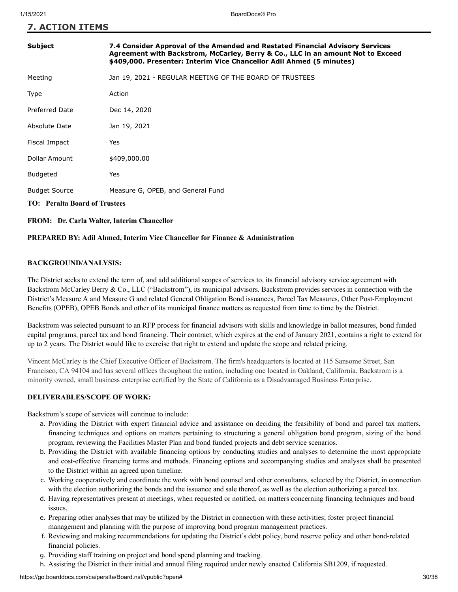**7. ACTION ITEMS**

| Subject                                           | 7.4 Consider Approval of the Amended and Restated Financial Advisory Services<br>Agreement with Backstrom, McCarley, Berry & Co., LLC in an amount Not to Exceed<br>\$409,000. Presenter: Interim Vice Chancellor Adil Ahmed (5 minutes) |  |
|---------------------------------------------------|------------------------------------------------------------------------------------------------------------------------------------------------------------------------------------------------------------------------------------------|--|
| Meeting                                           | Jan 19, 2021 - REGULAR MEETING OF THE BOARD OF TRUSTEES                                                                                                                                                                                  |  |
| Type                                              | Action                                                                                                                                                                                                                                   |  |
| <b>Preferred Date</b>                             | Dec 14, 2020                                                                                                                                                                                                                             |  |
| Absolute Date                                     | Jan 19, 2021                                                                                                                                                                                                                             |  |
| Fiscal Impact                                     | Yes                                                                                                                                                                                                                                      |  |
| Dollar Amount                                     | \$409,000.00                                                                                                                                                                                                                             |  |
| <b>Budgeted</b>                                   | Yes                                                                                                                                                                                                                                      |  |
| <b>Budget Source</b>                              | Measure G, OPEB, and General Fund                                                                                                                                                                                                        |  |
| <b>TO: Peralta Board of Trustees</b>              |                                                                                                                                                                                                                                          |  |
| <b>FROM:</b> Dr. Carla Walter, Interim Chancellor |                                                                                                                                                                                                                                          |  |

#### **PREPARED BY: Adil Ahmed, Interim Vice Chancellor for Finance & Administration**

#### **BACKGROUND/ANALYSIS:**

The District seeks to extend the term of, and add additional scopes of services to, its financial advisory service agreement with Backstrom McCarley Berry & Co., LLC ("Backstrom"), its municipal advisors. Backstrom provides services in connection with the District's Measure A and Measure G and related General Obligation Bond issuances, Parcel Tax Measures, Other Post-Employment Benefits (OPEB), OPEB Bonds and other of its municipal finance matters as requested from time to time by the District.

Backstrom was selected pursuant to an RFP process for financial advisors with skills and knowledge in ballot measures, bond funded capital programs, parcel tax and bond financing. Their contract, which expires at the end of January 2021, contains a right to extend for up to 2 years. The District would like to exercise that right to extend and update the scope and related pricing.

Vincent McCarley is the Chief Executive Officer of Backstrom. The firm's headquarters is located at 115 Sansome Street, San Francisco, CA 94104 and has several offices throughout the nation, including one located in Oakland, California. Backstrom is a minority owned, small business enterprise certified by the State of California as a Disadvantaged Business Enterprise.

#### **DELIVERABLES/SCOPE OF WORK:**

Backstrom's scope of services will continue to include:

- a. Providing the District with expert financial advice and assistance on deciding the feasibility of bond and parcel tax matters, financing techniques and options on matters pertaining to structuring a general obligation bond program, sizing of the bond program, reviewing the Facilities Master Plan and bond funded projects and debt service scenarios.
- b. Providing the District with available financing options by conducting studies and analyses to determine the most appropriate and cost-effective financing terms and methods. Financing options and accompanying studies and analyses shall be presented to the District within an agreed upon timeline.
- c. Working cooperatively and coordinate the work with bond counsel and other consultants, selected by the District, in connection with the election authorizing the bonds and the issuance and sale thereof, as well as the election authorizing a parcel tax.
- d. Having representatives present at meetings, when requested or notified, on matters concerning financing techniques and bond issues.
- e. Preparing other analyses that may be utilized by the District in connection with these activities; foster project financial management and planning with the purpose of improving bond program management practices.
- f. Reviewing and making recommendations for updating the District's debt policy, bond reserve policy and other bond-related financial policies.
- g. Providing staff training on project and bond spend planning and tracking.
- h. Assisting the District in their initial and annual filing required under newly enacted California SB1209, if requested.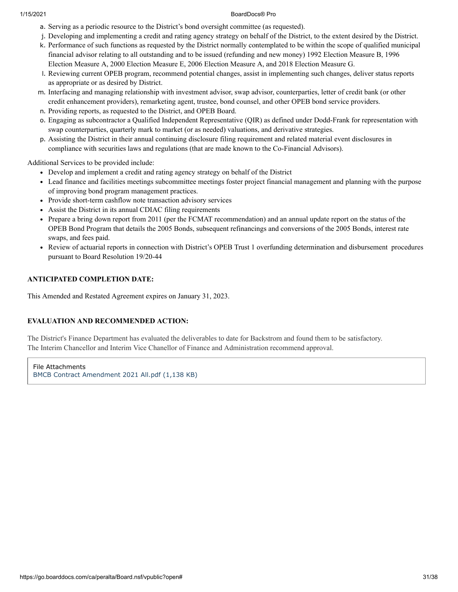#### 1/15/2021 BoardDocs® Pro

- a. Serving as a periodic resource to the District's bond oversight committee (as requested).
- j. Developing and implementing a credit and rating agency strategy on behalf of the District, to the extent desired by the District.
- k. Performance of such functions as requested by the District normally contemplated to be within the scope of qualified municipal financial advisor relating to all outstanding and to be issued (refunding and new money) 1992 Election Measure B, 1996 Election Measure A, 2000 Election Measure E, 2006 Election Measure A, and 2018 Election Measure G.
- l. Reviewing current OPEB program, recommend potential changes, assist in implementing such changes, deliver status reports as appropriate or as desired by District.
- m. Interfacing and managing relationship with investment advisor, swap advisor, counterparties, letter of credit bank (or other credit enhancement providers), remarketing agent, trustee, bond counsel, and other OPEB bond service providers.
- n. Providing reports, as requested to the District, and OPEB Board.
- o. Engaging as subcontractor a Qualified Independent Representative (QIR) as defined under Dodd-Frank for representation with swap counterparties, quarterly mark to market (or as needed) valuations, and derivative strategies.
- p. Assisting the District in their annual continuing disclosure filing requirement and related material event disclosures in compliance with securities laws and regulations (that are made known to the Co-Financial Advisors).

Additional Services to be provided include:

- Develop and implement a credit and rating agency strategy on behalf of the District
- Lead finance and facilities meetings subcommittee meetings foster project financial management and planning with the purpose of improving bond program management practices.
- Provide short-term cashflow note transaction advisory services
- Assist the District in its annual CDIAC filing requirements
- Prepare a bring down report from 2011 (per the FCMAT recommendation) and an annual update report on the status of the OPEB Bond Program that details the 2005 Bonds, subsequent refinancings and conversions of the 2005 Bonds, interest rate swaps, and fees paid.
- Review of actuarial reports in connection with District's OPEB Trust 1 overfunding determination and disbursement procedures pursuant to Board Resolution 19/20-44

#### **ANTICIPATED COMPLETION DATE:**

This Amended and Restated Agreement expires on January 31, 2023.

#### **EVALUATION AND RECOMMENDED ACTION:**

The District's Finance Department has evaluated the deliverables to date for Backstrom and found them to be satisfactory. The Interim Chancellor and Interim Vice Chanellor of Finance and Administration recommend approval.

File Attachments [BMCB Contract Amendment 2021 All.pdf \(1,138 KB\)](https://go.boarddocs.com/ca/peralta/Board.nsf/files/BWEV5M7F169F/$file/BMCB%20Contract%20Amendment%202021%20All.pdf)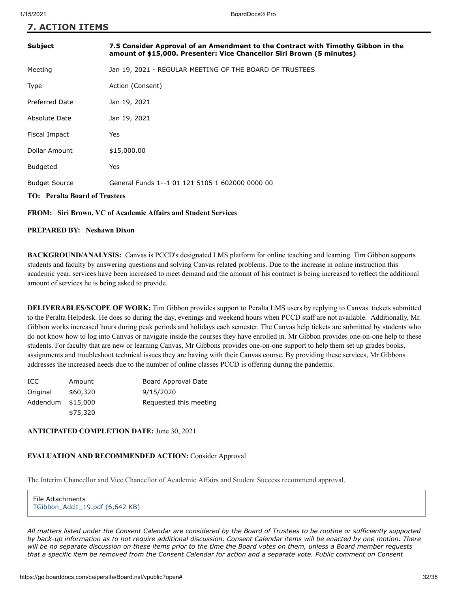**7. ACTION ITEMS**

| <b>Subject</b>                                                       | 7.5 Consider Approval of an Amendment to the Contract with Timothy Gibbon in the<br>amount of \$15,000. Presenter: Vice Chancellor Siri Brown (5 minutes) |  |
|----------------------------------------------------------------------|-----------------------------------------------------------------------------------------------------------------------------------------------------------|--|
| Meeting                                                              | Jan 19, 2021 - REGULAR MEETING OF THE BOARD OF TRUSTEES                                                                                                   |  |
| Type                                                                 | Action (Consent)                                                                                                                                          |  |
| <b>Preferred Date</b>                                                | Jan 19, 2021                                                                                                                                              |  |
| Absolute Date                                                        | Jan 19, 2021                                                                                                                                              |  |
| Fiscal Impact                                                        | Yes                                                                                                                                                       |  |
| Dollar Amount                                                        | \$15,000.00                                                                                                                                               |  |
| <b>Budgeted</b>                                                      | Yes                                                                                                                                                       |  |
| <b>Budget Source</b>                                                 | General Funds 1--1 01 121 5105 1 602000 0000 00                                                                                                           |  |
| <b>TO: Peralta Board of Trustees</b>                                 |                                                                                                                                                           |  |
| <b>FROM:</b> Siri Brown, VC of Academic Affairs and Student Services |                                                                                                                                                           |  |

#### **PREPARED BY: Neshawn Dixon**

**BACKGROUND/ANALYSIS:** Canvas is PCCD's designated LMS platform for online teaching and learning. Tim Gibbon supports students and faculty by answering questions and solving Canvas related problems. Due to the increase in online instruction this academic year, services have been increased to meet demand and the amount of his contract is being increased to reflect the additional amount of services he is being asked to provide.

**DELIVERABLES/SCOPE OF WORK:** Tim Gibbon provides support to Peralta LMS users by replying to Canvas tickets submitted to the Peralta Helpdesk. He does so during the day, evenings and weekend hours when PCCD staff are not available. Additionally, Mr. Gibbon works increased hours during peak periods and holidays each semester. The Canvas help tickets are submitted by students who do not know how to log into Canvas or navigate inside the courses they have enrolled in. Mr Gibbon provides one-on-one help to these students. For faculty that are new or learning Canvas, Mr Gibbons provides one-on-one support to help them set up grades books, assignments and troubleshoot technical issues they are having with their Canvas course. By providing these services, Mr Gibbons addresses the increased needs due to the number of online classes PCCD is offering during the pandemic.

| ICC.              | Amount   | Board Approval Date    |
|-------------------|----------|------------------------|
| Original          | \$60,320 | 9/15/2020              |
| Addendum \$15,000 |          | Requested this meeting |
|                   | \$75,320 |                        |

#### **ANTICIPATED COMPLETION DATE:** June 30, 2021

#### **EVALUATION AND RECOMMENDED ACTION:** Consider Approval

The Interim Chancellor and Vice Chancellor of Academic Affairs and Student Success recommend approval.

File Attachments [TGibbon\\_Add1\\_19.pdf \(6,642 KB\)](https://go.boarddocs.com/ca/peralta/Board.nsf/files/BX3RAA65899F/$file/TGibbon_Add1_19.pdf)

*All matters listed under the Consent Calendar are considered by the Board of Trustees to be routine or sufficiently supported by back-up information as to not require additional discussion. Consent Calendar items will be enacted by one motion. There will be no separate discussion on these items prior to the time the Board votes on them, unless a Board member requests that a specific item be removed from the Consent Calendar for action and a separate vote. Public comment on Consent*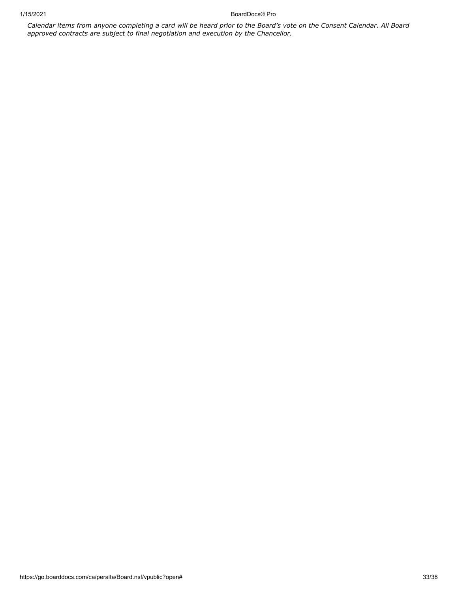1/15/2021 BoardDocs® Pro

*Calendar items from anyone completing a card will be heard prior to the Board's vote on the Consent Calendar. All Board approved contracts are subject to final negotiation and execution by the Chancellor.*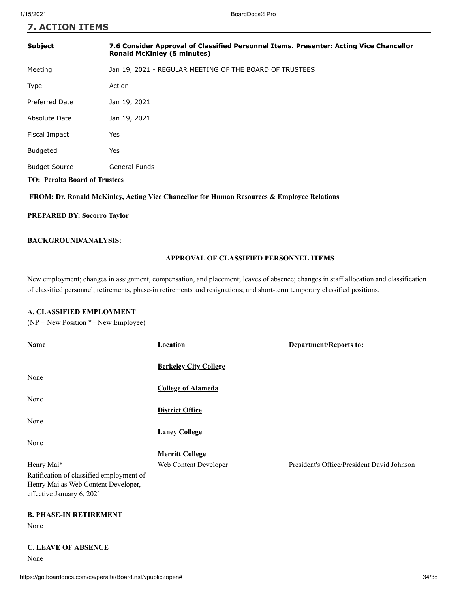### **7. ACTION ITEMS**

| <b>Subject</b>                       | 7.6 Consider Approval of Classified Personnel Items. Presenter: Acting Vice Chancellor<br><b>Ronald McKinley (5 minutes)</b> |  |
|--------------------------------------|------------------------------------------------------------------------------------------------------------------------------|--|
| Meeting                              | Jan 19, 2021 - REGULAR MEETING OF THE BOARD OF TRUSTEES                                                                      |  |
| Type                                 | Action                                                                                                                       |  |
| <b>Preferred Date</b>                | Jan 19, 2021                                                                                                                 |  |
| Absolute Date                        | Jan 19, 2021                                                                                                                 |  |
| Fiscal Impact                        | Yes                                                                                                                          |  |
| <b>Budgeted</b>                      | Yes                                                                                                                          |  |
| <b>Budget Source</b>                 | <b>General Funds</b>                                                                                                         |  |
| <b>TO: Peralta Board of Trustees</b> |                                                                                                                              |  |

#### **FROM: Dr. Ronald McKinley, Acting Vice Chancellor for Human Resources & Employee Relations**

#### **PREPARED BY: Socorro Taylor**

#### **BACKGROUND/ANALYSIS:**

#### **APPROVAL OF CLASSIFIED PERSONNEL ITEMS**

New employment; changes in assignment, compensation, and placement; leaves of absence; changes in staff allocation and classification of classified personnel; retirements, phase-in retirements and resignations; and short-term temporary classified positions.

#### **A. CLASSIFIED EMPLOYMENT**

 $(NP = New Position * = New Employee)$ 

| <b>Name</b>                              | <b>Location</b>              | <b>Department/Reports to:</b>              |
|------------------------------------------|------------------------------|--------------------------------------------|
|                                          |                              |                                            |
|                                          | <b>Berkeley City College</b> |                                            |
| None                                     |                              |                                            |
|                                          | <b>College of Alameda</b>    |                                            |
| None                                     |                              |                                            |
|                                          | <b>District Office</b>       |                                            |
| None                                     |                              |                                            |
|                                          | <b>Laney College</b>         |                                            |
| None                                     |                              |                                            |
|                                          | <b>Merritt College</b>       |                                            |
| Henry Mai*                               | Web Content Developer        | President's Office/President David Johnson |
| Ratification of classified employment of |                              |                                            |
| Henry Mai as Web Content Developer,      |                              |                                            |
| effective January 6, 2021                |                              |                                            |

# **B. PHASE-IN RETIREMENT**

None

**C. LEAVE OF ABSENCE**

None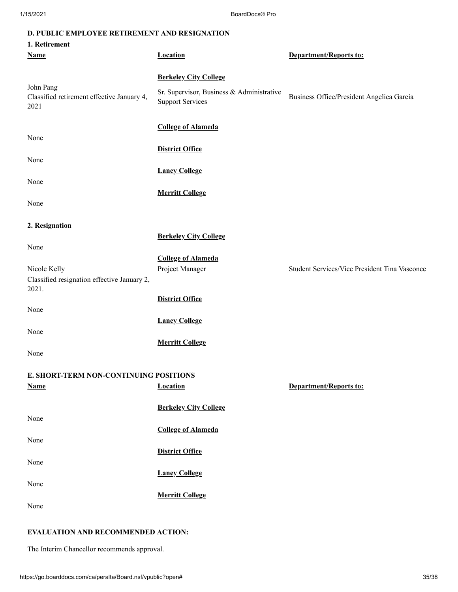#### **D. PUBLIC EMPLOYEE RETIREMENT AND RESIGNATION**

| 1. Retirement                                                   |                                                                      |                                               |
|-----------------------------------------------------------------|----------------------------------------------------------------------|-----------------------------------------------|
| <b>Name</b>                                                     | <b>Location</b>                                                      | <b>Department/Reports to:</b>                 |
|                                                                 |                                                                      |                                               |
|                                                                 | <b>Berkeley City College</b>                                         |                                               |
| John Pang<br>Classified retirement effective January 4,<br>2021 | Sr. Supervisor, Business & Administrative<br><b>Support Services</b> | Business Office/President Angelica Garcia     |
|                                                                 | <b>College of Alameda</b>                                            |                                               |
| None                                                            |                                                                      |                                               |
|                                                                 | <b>District Office</b>                                               |                                               |
| None                                                            |                                                                      |                                               |
|                                                                 | <b>Laney College</b>                                                 |                                               |
| None                                                            |                                                                      |                                               |
|                                                                 | <b>Merritt College</b>                                               |                                               |
| None                                                            |                                                                      |                                               |
|                                                                 |                                                                      |                                               |
| 2. Resignation                                                  |                                                                      |                                               |
|                                                                 | <b>Berkeley City College</b>                                         |                                               |
| None                                                            | <b>College of Alameda</b>                                            |                                               |
| Nicole Kelly                                                    | Project Manager                                                      | Student Services/Vice President Tina Vasconce |
| Classified resignation effective January 2,<br>2021.            |                                                                      |                                               |
|                                                                 | <b>District Office</b>                                               |                                               |
| None                                                            |                                                                      |                                               |
|                                                                 | <b>Laney College</b>                                                 |                                               |
| None                                                            |                                                                      |                                               |
|                                                                 | <b>Merritt College</b>                                               |                                               |
| None                                                            |                                                                      |                                               |
| E. SHORT-TERM NON-CONTINUING POSITIONS                          |                                                                      |                                               |
| <b>Name</b>                                                     | <b>Location</b>                                                      | <b>Department/Reports to:</b>                 |
|                                                                 |                                                                      |                                               |
|                                                                 | <b>Berkeley City College</b>                                         |                                               |
| None                                                            |                                                                      |                                               |
|                                                                 | <b>College of Alameda</b>                                            |                                               |
| None                                                            |                                                                      |                                               |
|                                                                 | <b>District Office</b>                                               |                                               |
| None                                                            |                                                                      |                                               |
|                                                                 | <b>Laney College</b>                                                 |                                               |
| None                                                            | <b>Merritt College</b>                                               |                                               |
| None                                                            |                                                                      |                                               |
|                                                                 |                                                                      |                                               |

#### **EVALUATION AND RECOMMENDED ACTION:**

The Interim Chancellor recommends approval.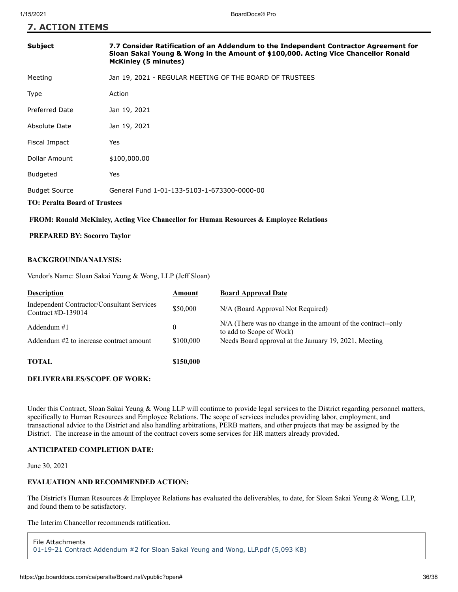#### **7. ACTION ITEMS**

| <b>Subject</b>                                                                                              | 7.7 Consider Ratification of an Addendum to the Independent Contractor Agreement for<br>Sloan Sakai Young & Wong in the Amount of \$100,000. Acting Vice Chancellor Ronald<br><b>McKinley (5 minutes)</b> |
|-------------------------------------------------------------------------------------------------------------|-----------------------------------------------------------------------------------------------------------------------------------------------------------------------------------------------------------|
| Meeting                                                                                                     | Jan 19, 2021 - REGULAR MEETING OF THE BOARD OF TRUSTEES                                                                                                                                                   |
| Type                                                                                                        | Action                                                                                                                                                                                                    |
| Preferred Date                                                                                              | Jan 19, 2021                                                                                                                                                                                              |
| Absolute Date                                                                                               | Jan 19, 2021                                                                                                                                                                                              |
| Fiscal Impact                                                                                               | Yes                                                                                                                                                                                                       |
| Dollar Amount                                                                                               | \$100,000.00                                                                                                                                                                                              |
| <b>Budgeted</b>                                                                                             | Yes                                                                                                                                                                                                       |
| General Fund 1-01-133-5103-1-673300-0000-00<br><b>Budget Source</b><br><b>TO: Peralta Board of Trustees</b> |                                                                                                                                                                                                           |

#### **FROM: Ronald McKinley, Acting Vice Chancellor for Human Resources & Employee Relations**

#### **PREPARED BY: Socorro Taylor**

#### **BACKGROUND/ANALYSIS:**

Vendor's Name: Sloan Sakai Yeung & Wong, LLP (Jeff Sloan)

| <b>Description</b>                                                        | Amount    | <b>Board Approval Date</b>                                                                |
|---------------------------------------------------------------------------|-----------|-------------------------------------------------------------------------------------------|
| <b>Independent Contractor/Consultant Services</b><br>Contract $#D-139014$ | \$50,000  | N/A (Board Approval Not Required)                                                         |
| Addendum #1                                                               | $\theta$  | $N/A$ (There was no change in the amount of the contract-only<br>to add to Scope of Work) |
| Addendum #2 to increase contract amount                                   | \$100,000 | Needs Board approval at the January 19, 2021, Meeting                                     |
| TOTAL                                                                     | \$150,000 |                                                                                           |

#### **DELIVERABLES/SCOPE OF WORK:**

Under this Contract, Sloan Sakai Yeung & Wong LLP will continue to provide legal services to the District regarding personnel matters, specifically to Human Resources and Employee Relations. The scope of services includes providing labor, employment, and transactional advice to the District and also handling arbitrations, PERB matters, and other projects that may be assigned by the District. The increase in the amount of the contract covers some services for HR matters already provided.

#### **ANTICIPATED COMPLETION DATE:**

June 30, 2021

#### **EVALUATION AND RECOMMENDED ACTION:**

The District's Human Resources & Employee Relations has evaluated the deliverables, to date, for Sloan Sakai Yeung & Wong, LLP, and found them to be satisfactory.

The Interim Chancellor recommends ratification.

```
File Attachments
01-19-21 Contract Addendum #2 for Sloan Sakai Yeung and Wong, LLP.pdf (5,093 KB)
```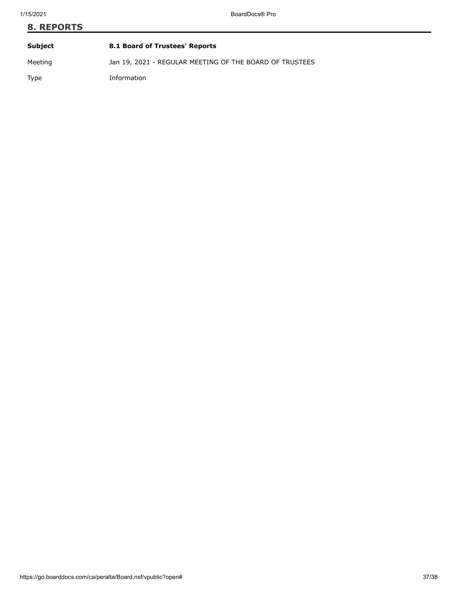# **8. REPORTS Subject 8.1 Board of Trustees' Reports**

Meeting Jan 19, 2021 - REGULAR MEETING OF THE BOARD OF TRUSTEES

Type Information